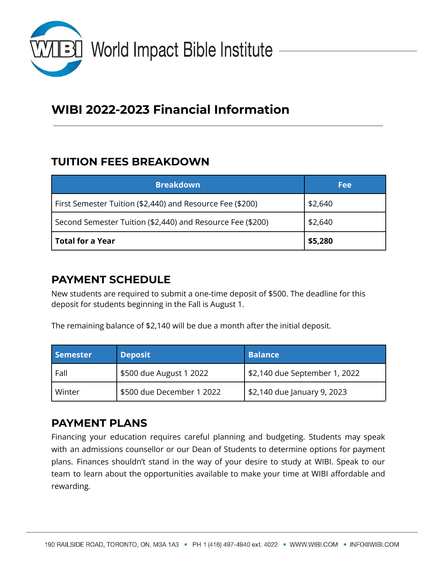

# **WIBI 2022-2023 Financial Information**

### **TUITION FEES BREAKDOWN**

| <b>Breakdown</b>                                           | <b>Fee</b> |
|------------------------------------------------------------|------------|
| First Semester Tuition (\$2,440) and Resource Fee (\$200)  | \$2,640    |
| Second Semester Tuition (\$2,440) and Resource Fee (\$200) | \$2,640    |
| Total for a Year                                           | \$5,280    |

#### **PAYMENT SCHEDULE**

New students are required to submit a one-time deposit of \$500. The deadline for this deposit for students beginning in the Fall is August 1.

The remaining balance of \$2,140 will be due a month after the initial deposit.

| <b>Semester</b> | <b>Deposit</b>            | <b>Balance</b>                |
|-----------------|---------------------------|-------------------------------|
| Fall            | \$500 due August 1 2022   | \$2,140 due September 1, 2022 |
| Winter          | \$500 due December 1 2022 | \$2,140 due January 9, 2023   |

#### **PAYMENT PLANS**

Financing your education requires careful planning and budgeting. Students may speak with an admissions counsellor or our Dean of Students to determine options for payment plans. Finances shouldn't stand in the way of your desire to study at WIBI. Speak to our team to learn about the opportunities available to make your time at WIBI affordable and rewarding.